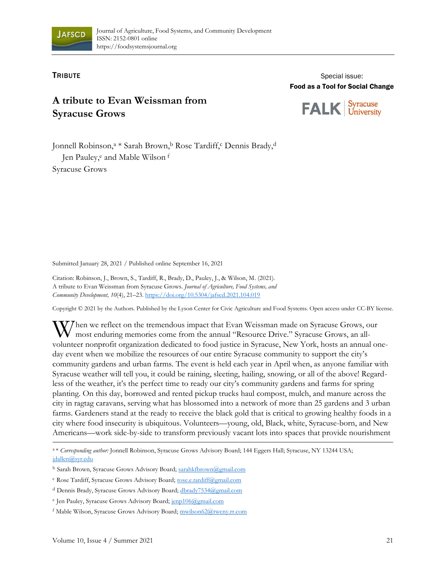

## **TRIBUTE**

Special issue: Food as a Tool for Social Change

## **A tribute to Evan Weissman from Syracuse Grows**

Syracuse<br>University **FALK** 

Jonnell Robinson,<sup>a \*</sup> Sarah Brown,<sup>b</sup> Rose Tardiff,<sup>c</sup> Dennis Brady,<sup>d</sup> Jen Pauley,<sup>e</sup> and Mable Wilson <sup>f</sup> Syracuse Grows

Submitted January 28, 2021 / Published online September 16, 2021

Citation: Robinson, J., Brown, S., Tardiff, R., Brady, D., Pauley, J., & Wilson, M. (2021). A tribute to Evan Weissman from Syracuse Grows. *Journal of Agriculture, Food Systems, and Community Development, 10*(4), 21–23. h[ttps://doi.org/10.5304/jafscd.2021.104.019](https://doi.org/10.5304/jafscd.2021.104.00X)

Copyright © 2021 by the Authors. Published by the Lyson Center for Civic Agriculture and Food Systems. Open access under CC-BY license.

hen we reflect on the tremendous impact that Evan Weissman made on Syracuse Grows, our most enduring memories come from the annual "Resource Drive." Syracuse Grows, an allvolunteer nonprofit organization dedicated to food justice in Syracuse, New York, hosts an annual oneday event when we mobilize the resources of our entire Syracuse community to support the city's community gardens and urban farms. The event is held each year in April when, as anyone familiar with Syracuse weather will tell you, it could be raining, sleeting, hailing, snowing, or all of the above! Regardless of the weather, it's the perfect time to ready our city's community gardens and farms for spring planting. On this day, borrowed and rented pickup trucks haul compost, mulch, and manure across the city in ragtag caravans, serving what has blossomed into a network of more than 25 gardens and 3 urban farms. Gardeners stand at the ready to receive the black gold that is critical to growing healthy foods in a city where food insecurity is ubiquitous. Volunteers—young, old, Black, white, Syracuse-born, and New Americans—work side-by-side to transform previously vacant lots into spaces that provide nourishment W

a\* *Corresponding author:* Jonnell Robinson, Syracuse Grows Advisory Board; 144 Eggers Hall; Syracuse, NY 13244 USA; [jdallen@syr.edu](mailto:jdallen@syr.edu)

<sup>b</sup> Sarah Brown, Syracuse Grows Advisory Board; [sarahkfbrown@gmail.com](mailto:sarahkfbrown@gmail.com)

c Rose Tardiff, Syracuse Grows Advisory Board; [rose.e.tardiff@gmail.com](mailto:rose.e.tardiff@gmail.com)

<sup>d</sup> Dennis Brady, Syracuse Grows Advisory Board[; dbrady7534@gmail.com](mailto:dbrady7534@gmail.com)

<sup>&</sup>lt;sup>e</sup> Jen Pauley, Syracuse Grows Advisory Board[; jenp106@gmail.com](mailto:jenp106@gmail.com)

<sup>f</sup> Mable Wilson, Syracuse Grows Advisory Board; [mwilson62@twcny.rr.com](mailto:mwilson62@twcny.rr.com)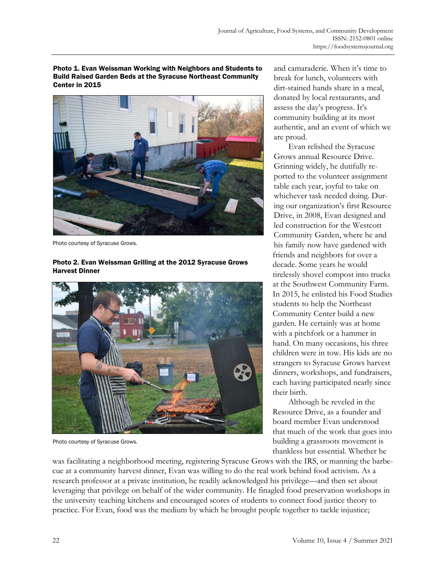Photo 1. Evan Weissman Working with Neighbors and Students to Build Raised Garden Beds at the Syracuse Northeast Community Center in 2015



Photo courtesy of Syracuse Grows.

Harvest Dinner

## Photo courtesy of Syracuse Grows.

Photo 2. Evan Weissman Grilling at the 2012 Syracuse Grows

Photo courtesy of Syracuse Grows.

and camaraderie. When it's time to break for lunch, volunteers with dirt-stained hands share in a meal, donated by local restaurants, and assess the day's progress. It's community building at its most authentic, and an event of which we are proud.

Evan relished the Syracuse Grows annual Resource Drive. Grinning widely, he dutifully reported to the volunteer assignment table each year, joyful to take on whichever task needed doing. During our organization's first Resource Drive, in 2008, Evan designed and led construction for the Westcott Community Garden, where he and his family now have gardened with friends and neighbors for over a decade. Some years he would tirelessly shovel compost into trucks at the Southwest Community Farm. In 2015, he enlisted his Food Studies students to help the Northeast Community Center build a new garden. He certainly was at home with a pitchfork or a hammer in hand. On many occasions, his three children were in tow. His kids are no strangers to Syracuse Grows harvest dinners, workshops, and fundraisers, each having participated nearly since their birth.

Although he reveled in the Resource Drive, as a founder and board member Evan understood that much of the work that goes into building a grassroots movement is thankless but essential. Whether he

was facilitating a neighborhood meeting, registering Syracuse Grows with the IRS, or manning the barbecue at a community harvest dinner, Evan was willing to do the real work behind food activism. As a research professor at a private institution, he readily acknowledged his privilege—and then set about leveraging that privilege on behalf of the wider community. He finagled food preservation workshops in the university teaching kitchens and encouraged scores of students to connect food justice theory to practice. For Evan, food was the medium by which he brought people together to tackle injustice;